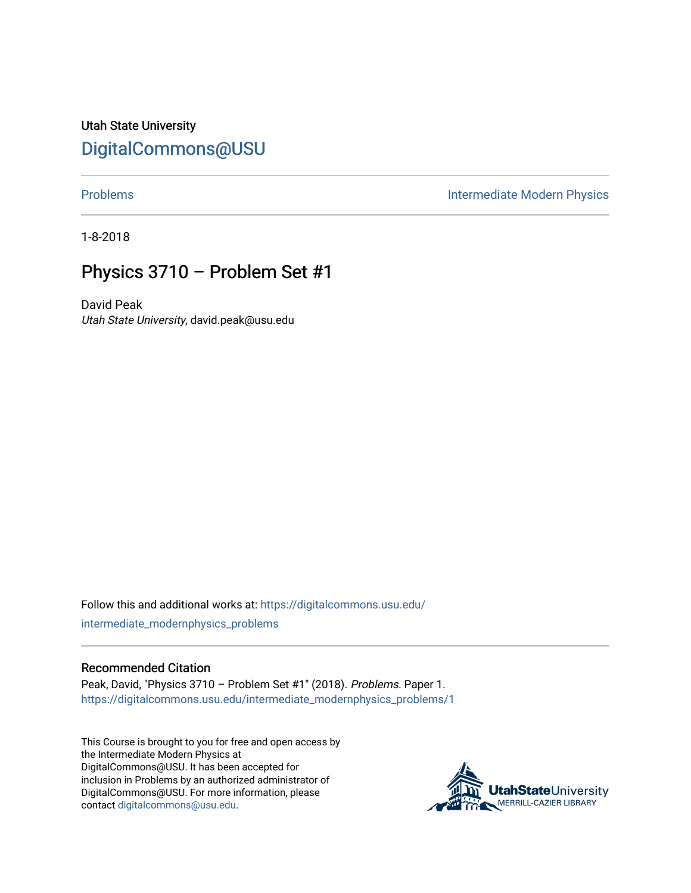Utah State University [DigitalCommons@USU](https://digitalcommons.usu.edu/)

[Problems](https://digitalcommons.usu.edu/intermediate_modernphysics_problems) **Intermediate Modern Physics** 

1-8-2018

## Physics 3710 – Problem Set #1

David Peak Utah State University, david.peak@usu.edu

Follow this and additional works at: [https://digitalcommons.usu.edu/](https://digitalcommons.usu.edu/intermediate_modernphysics_problems?utm_source=digitalcommons.usu.edu%2Fintermediate_modernphysics_problems%2F1&utm_medium=PDF&utm_campaign=PDFCoverPages) [intermediate\\_modernphysics\\_problems](https://digitalcommons.usu.edu/intermediate_modernphysics_problems?utm_source=digitalcommons.usu.edu%2Fintermediate_modernphysics_problems%2F1&utm_medium=PDF&utm_campaign=PDFCoverPages)

## Recommended Citation

Peak, David, "Physics 3710 – Problem Set #1" (2018). Problems. Paper 1. [https://digitalcommons.usu.edu/intermediate\\_modernphysics\\_problems/1](https://digitalcommons.usu.edu/intermediate_modernphysics_problems/1?utm_source=digitalcommons.usu.edu%2Fintermediate_modernphysics_problems%2F1&utm_medium=PDF&utm_campaign=PDFCoverPages)

This Course is brought to you for free and open access by the Intermediate Modern Physics at DigitalCommons@USU. It has been accepted for inclusion in Problems by an authorized administrator of DigitalCommons@USU. For more information, please contact [digitalcommons@usu.edu](mailto:digitalcommons@usu.edu).